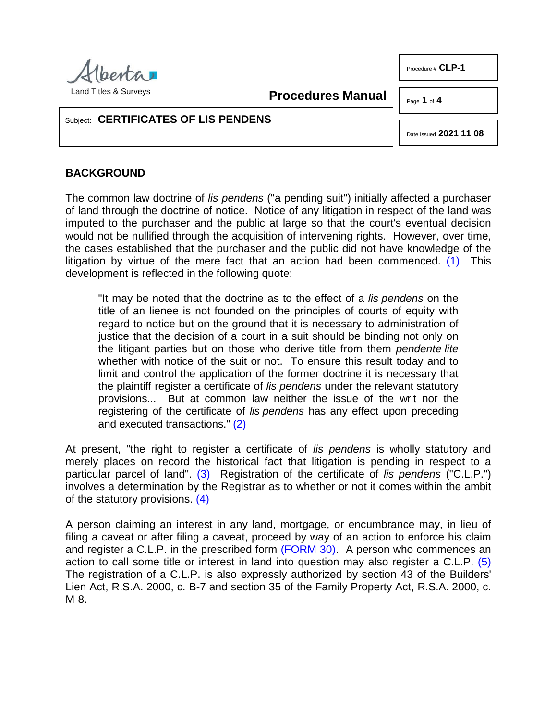

Procedure # **CLP-1** 

**Procedures Manual**

Page **1** of **4**

### Subject: **CERTIFICATES OF LIS PENDENS**

<span id="page-0-0"></span>Date Issued **2021 11 08**

# **BACKGROUND**

The common law doctrine of *lis pendens* ("a pending suit") initially affected a purchaser of land through the doctrine of notice. Notice of any litigation in respect of the land was imputed to the purchaser and the public at large so that the court's eventual decision would not be nullified through the acquisition of intervening rights. However, over time, the cases established that the purchaser and the public did not have knowledge of the litigation by virtue of the mere fact that an action had been commenced.  $(1)$  This development is reflected in the following quote:

"It may be noted that the doctrine as to the effect of a *lis pendens* on the title of an lienee is not founded on the principles of courts of equity with regard to notice but on the ground that it is necessary to administration of justice that the decision of a court in a suit should be binding not only on the litigant parties but on those who derive title from them *pendente lite*  whether with notice of the suit or not. To ensure this result today and to limit and control the application of the former doctrine it is necessary that the plaintiff register a certificate of *lis pendens* under the relevant statutory provisions... But at common law neither the issue of the writ nor the registering of the certificate of *lis pendens* has any effect upon preceding and executed transactions." [\(2\)](#page-3-1)

<span id="page-0-2"></span><span id="page-0-1"></span>At present, "the right to register a certificate of *lis pendens* is wholly statutory and merely places on record the historical fact that litigation is pending in respect to a particular parcel of land". [\(3\)](#page-3-2) Registration of the certificate of *lis pendens* ("C.L.P.") involves a determination by the Registrar as to whether or not it comes within the ambit of the statutory provisions. [\(4\)](#page-3-3)

<span id="page-0-4"></span><span id="page-0-3"></span>A person claiming an interest in any land, mortgage, or encumbrance may, in lieu of filing a caveat or after filing a caveat, proceed by way of an action to enforce his claim and register a C.L.P. in the prescribed form [\(FORM 30\).](http://www.servicealberta.ca/pdf/ltmanual/FORM30.pdf) A person who commences an action to call some title or interest in land into question may also register a C.L.P. [\(5\)](#page-3-4)  The registration of a C.L.P. is also expressly authorized by section 43 of the Builders' Lien Act, R.S.A. 2000, c. B-7 and section 35 of the Family Property Act, R.S.A. 2000, c. M-8.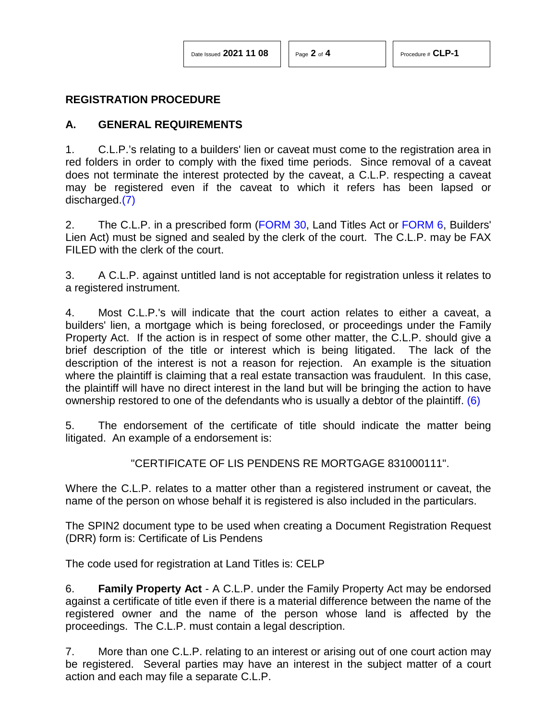#### **REGISTRATION PROCEDURE**

#### **A. GENERAL REQUIREMENTS**

1. C.L.P.'s relating to a builders' lien or caveat must come to the registration area in red folders in order to comply with the fixed time periods. Since removal of a caveat does not terminate the interest protected by the caveat, a C.L.P. respecting a caveat may be registered even if the caveat to which it refers has been lapsed or discharged[.\(7\)](#page-3-5)

<span id="page-1-1"></span>2. The C.L.P. in a prescribed form [\(FORM 30,](http://www.servicealberta.ca/pdf/ltmanual/FORM30.pdf) Land Titles Act or [FORM 6,](http://www.servicealberta.ca/pdf/ltmanual/CLP-1-FORM6.pdf) Builders' Lien Act) must be signed and sealed by the clerk of the court. The C.L.P. may be FAX FILED with the clerk of the court.

3. A C.L.P. against untitled land is not acceptable for registration unless it relates to a registered instrument.

4. Most C.L.P.'s will indicate that the court action relates to either a caveat, a builders' lien, a mortgage which is being foreclosed, or proceedings under the Family Property Act. If the action is in respect of some other matter, the C.L.P. should give a brief description of the title or interest which is being litigated. The lack of the description of the interest is not a reason for rejection. An example is the situation where the plaintiff is claiming that a real estate transaction was fraudulent. In this case, the plaintiff will have no direct interest in the land but will be bringing the action to have ownership restored to one of the defendants who is usually a debtor of the plaintiff. [\(6\)](#page-3-6)

5. The endorsement of the certificate of title should indicate the matter being litigated. An example of a endorsement is:

<span id="page-1-0"></span>"CERTIFICATE OF LIS PENDENS RE MORTGAGE 831000111".

Where the C.L.P. relates to a matter other than a registered instrument or caveat, the name of the person on whose behalf it is registered is also included in the particulars.

The SPIN2 document type to be used when creating a Document Registration Request (DRR) form is: Certificate of Lis Pendens

The code used for registration at Land Titles is: CELP

6. **Family Property Act** - A C.L.P. under the Family Property Act may be endorsed against a certificate of title even if there is a material difference between the name of the registered owner and the name of the person whose land is affected by the proceedings. The C.L.P. must contain a legal description.

7. More than one C.L.P. relating to an interest or arising out of one court action may be registered. Several parties may have an interest in the subject matter of a court action and each may file a separate C.L.P.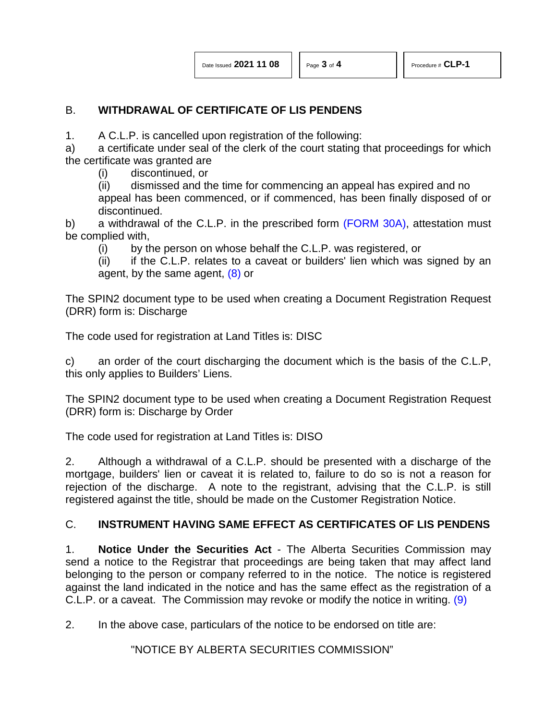# B. **WITHDRAWAL OF CERTIFICATE OF LIS PENDENS**

1. A C.L.P. is cancelled upon registration of the following:

a) a certificate under seal of the clerk of the court stating that proceedings for which the certificate was granted are

(i) discontinued, or

(ii) dismissed and the time for commencing an appeal has expired and no appeal has been commenced, or if commenced, has been finally disposed of or discontinued.

b) a withdrawal of the C.L.P. in the prescribed form [\(FORM 30A\),](http://www.servicealberta.ca/pdf/ltmanual/FORM30A.pdf) attestation must be complied with,

(i) by the person on whose behalf the C.L.P. was registered, or

<span id="page-2-0"></span> $(iii)$  if the C.L.P. relates to a caveat or builders' lien which was signed by an agent, by the same agent, [\(8\)](#page-3-7) or

The SPIN2 document type to be used when creating a Document Registration Request (DRR) form is: Discharge

The code used for registration at Land Titles is: DISC

c) an order of the court discharging the document which is the basis of the C.L.P, this only applies to Builders' Liens.

The SPIN2 document type to be used when creating a Document Registration Request (DRR) form is: Discharge by Order

The code used for registration at Land Titles is: DISO

2. Although a withdrawal of a C.L.P. should be presented with a discharge of the mortgage, builders' lien or caveat it is related to, failure to do so is not a reason for rejection of the discharge. A note to the registrant, advising that the C.L.P. is still registered against the title, should be made on the Customer Registration Notice.

## C. **INSTRUMENT HAVING SAME EFFECT AS CERTIFICATES OF LIS PENDENS**

1. **Notice Under the Securities Act** - The Alberta Securities Commission may send a notice to the Registrar that proceedings are being taken that may affect land belonging to the person or company referred to in the notice. The notice is registered against the land indicated in the notice and has the same effect as the registration of a C.L.P. or a caveat. The Commission may revoke or modify the notice in writing. [\(9\)](#page-3-8)

2. In the above case, particulars of the notice to be endorsed on title are:

## <span id="page-2-1"></span>"NOTICE BY ALBERTA SECURITIES COMMISSION"